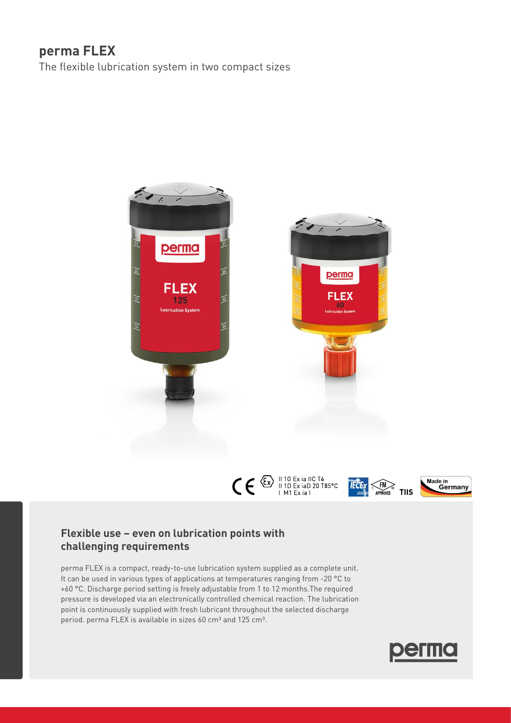# **perma FLEX**

The flexible lubrication system in two compact sizes



## **Flexible use – even on lubrication points with challenging requirements**

perma FLEX is a compact, ready-to-use lubrication system supplied as a complete unit. It can be used in various types of applications at temperatures ranging from -20 °C to +60 °C. Discharge period setting is freely adjustable from 1 to 12 months.The required pressure is developed via an electronically controlled chemical reaction. The lubrication point is continuously supplied with fresh lubricant throughout the selected discharge period. perma FLEX is available in sizes 60 cm<sup>3</sup> and 125 cm<sup>3</sup>.